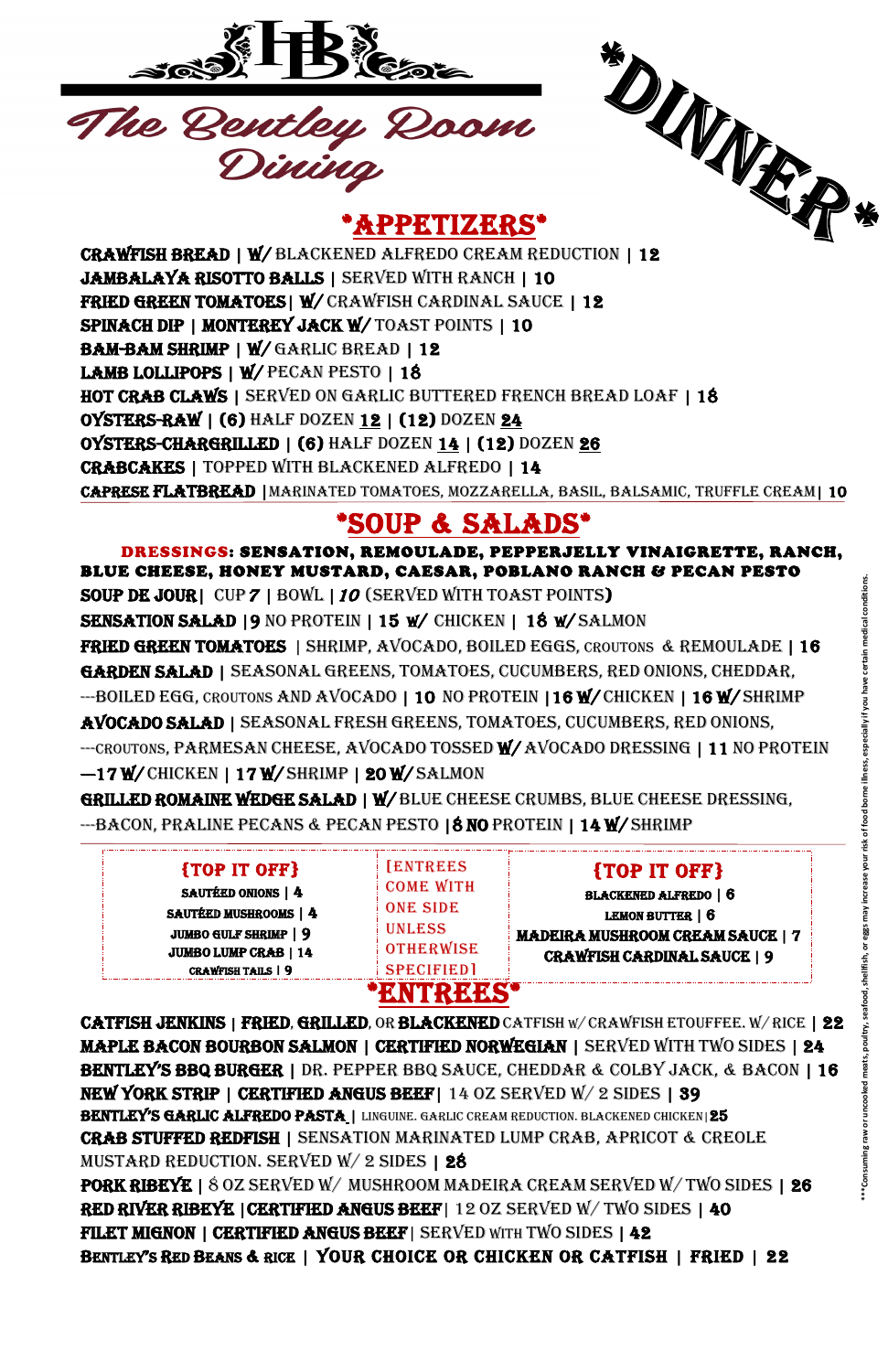

\*APPETIZERS\*



DRESSINGS: SENSATION, REMOULADE, PEPPERJELLY VINAIGRETTE, RANCH, BLUE CHEESE, HONEY MUSTARD, CAESAR, POBLANO RANCH & PECAN PESTO soup de Jour| CUP<sup>7</sup> | BOWL |<sup>10</sup> (SERVED WITH TOAST POINTS) SENSATION SALAD |9 NO PROTEIN | 15 W/ CHICKEN | 18 W/ SALMON FRIED GREEN TOMATOES | SHRIMP, AVOCADO, BOILED EGGS, CROUTONS & REMOULADE | 16 GARDEN SALAD | SEASONAL GREENS, TOMATOES, CUCUMBERS, RED ONIONS, CHEDDAR, --BOILED EGG, CROUTONS AND AVOCADO | 10 NO PROTEIN | 16 W/ CHICKEN | 16 W/ SHRIMP AVOCADO SALAD | SEASONAL FRESH GREENS, TOMATOES, CUCUMBERS, RED ONIONS, --CROUTONS, PARMESAN CHEESE, AVOCADO TOSSED W/AVOCADO DRESSING | 11 NO PROTEIN -17 W/ CHICKEN | 17 W/ SHRIMP | 20 W/ SALMON <sup>\*\*</sup>**Torsum raw or uncooked meats, poultry, seafood, and the meats, poultry, and a whom the stand refers, conditions.**<br> **FASSONAL GREENS, TOMATOES, CUCUMBERS, RED ONIONS, CHEDDAR.**<br>
EASONAL GREENS, TOMATOES, CUCUMBERS, RED

JAMBALAYA RISOTTO BALLS | SERVED WITH RANCH | 10 FRIED GREEN TOMATOES| W/ CRAWFISH CARDINAL SAUCE | 12 SPINACH DIP | MONTEREY JACK W/ TOAST POINTS | 10 BAM-BAM SHRIMP | W/ GARLIC BREAD | 12 LAMB LOLLIPOPS | W/ PECAN PESTO | 18 HOT CRAB CLAWS | SERVED ON GARLIC BUTTERED FRENCH BREAD LOAF | 18 **OYSTERS-RAW | (6) HALF DOZEN 12 | (12) DOZEN 24** OYSTERS-CHARGRILLED | (6) HALF DOZEN 14 | (12) DOZEN 26 CRABCAKES | TOPPED With blackened alfredo | 14 Caprese flatbread |marinated tomatoes, mozzarella, basil, balsamic, truffle cream| 10

### \*SOUP & SALADS\*

GRILLED ROMAINE WEDGE SALAD | W/ BLUE CHEESE CRUMBS, BLUE CHEESE DRESSING, --BACON, PRALINE PECANS & PECAN PESTO | 8 NO PROTEIN | 14 W/ SHRIMP

| {TOP IT OFF}<br><b>SAUTÉED ONIONS   4</b><br><b>SAUTÉED MUSHROOMS   4</b><br><b>JUMBO GULF SHRIMP   9</b><br><b>JUMBO LUMP CRAB   14</b><br><b>CRAWFISH TAILS   9</b> | <b>[ENTREES</b><br><b>COME WITH</b><br><b>ONE SIDE</b><br><b>UNLESS</b><br><b>OTHERWISE</b><br><b>SPECIFIED1</b> | <b>{TOP IT OFF}</b><br><b>BLACKENED ALFREDO   6</b><br>LEMON BUTTER   6<br><b>MADEIRA MUSHROOM CREAM SAUCE   7</b><br><b>CRAWFISH CARDINAL SAUCE   9</b> |
|-----------------------------------------------------------------------------------------------------------------------------------------------------------------------|------------------------------------------------------------------------------------------------------------------|----------------------------------------------------------------------------------------------------------------------------------------------------------|
|                                                                                                                                                                       |                                                                                                                  |                                                                                                                                                          |

CATFISH JENKINS | FRIED, GRILLED, OR BLACKENED CATFISH W/ CRAWFISH ETOUFFEE. W/RICE | 22 MAPLE BACON BOURBON SALMON | CERTIFIED NORWEGIAN | SERVED WITH TWO SIDES | 24 BENTLEY'S BBQ BURGER | DR. PEPPER BBQ SAUCE, CHEDDAR & COLBY JACK, & BACON | 16 NEW YORK STRIP | CERTIFIED ANGUS BEEF| 14 OZ SERVED W/ 2 SIDES | 39 BENTLEY'S GARLIC ALFREDO PASTA | LINGUINE. GARLIC CREAM REDUCTION. BLACKENED CHICKEN|25 CRAB STUFFED REDFISH | SENSATION MARINATED LUMP CRAB, APRICOT & creole mustard reduction. Served w/ 2 sides | 28 PORK RIBEYE | 8 OZ SERVED W/ MUSHROOM MADEIRA CREAM SERVED W/TWO SIDES | 26 RED RIVER RIBEYE |CERTIFIED ANGUS BEEF| 12 OZ SERVED W/ TWO SIDES | 40 FILET MIGNON | CERTIFIED ANGUS BEEF| SERVED WITH TWO SIDES | 42 BENTLEY'S RED BEANS & RICE | YOUR CHOICE OR CHICKEN OR CATFISH | FRIED | 22